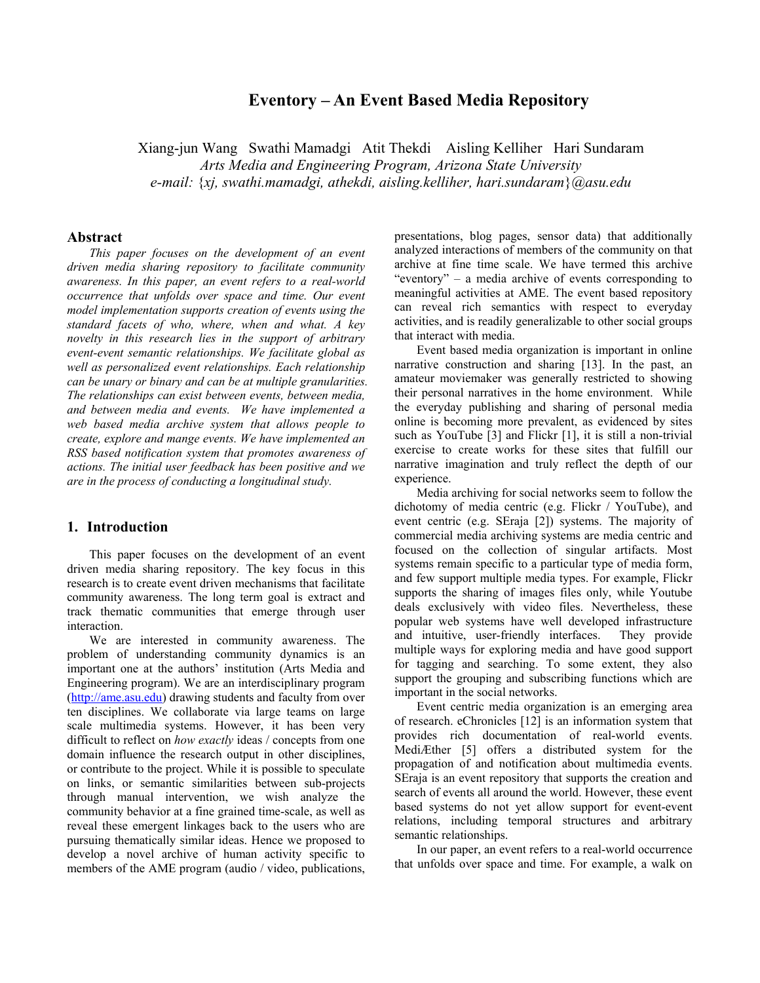# **Eventory – An Event Based Media Repository**

Xiang-jun Wang Swathi Mamadgi Atit Thekdi Aisling Kelliher Hari Sundaram *Arts Media and Engineering Program, Arizona State University e-mail:* {*xj, swathi.mamadgi, athekdi, aisling.kelliher, hari.sundaram*}*@asu.edu* 

### **Abstract**

*This paper focuses on the development of an event driven media sharing repository to facilitate community awareness. In this paper, an event refers to a real-world occurrence that unfolds over space and time. Our event model implementation supports creation of events using the standard facets of who, where, when and what. A key novelty in this research lies in the support of arbitrary event-event semantic relationships. We facilitate global as well as personalized event relationships. Each relationship can be unary or binary and can be at multiple granularities. The relationships can exist between events, between media, and between media and events. We have implemented a web based media archive system that allows people to create, explore and mange events. We have implemented an RSS based notification system that promotes awareness of actions. The initial user feedback has been positive and we are in the process of conducting a longitudinal study.* 

### **1. Introduction**

This paper focuses on the development of an event driven media sharing repository. The key focus in this research is to create event driven mechanisms that facilitate community awareness. The long term goal is extract and track thematic communities that emerge through user interaction.

We are interested in community awareness. The problem of understanding community dynamics is an important one at the authors' institution (Arts Media and Engineering program). We are an interdisciplinary program (http://ame.asu.edu) drawing students and faculty from over ten disciplines. We collaborate via large teams on large scale multimedia systems. However, it has been very difficult to reflect on *how exactly* ideas / concepts from one domain influence the research output in other disciplines, or contribute to the project. While it is possible to speculate on links, or semantic similarities between sub-projects through manual intervention, we wish analyze the community behavior at a fine grained time-scale, as well as reveal these emergent linkages back to the users who are pursuing thematically similar ideas. Hence we proposed to develop a novel archive of human activity specific to members of the AME program (audio / video, publications,

presentations, blog pages, sensor data) that additionally analyzed interactions of members of the community on that archive at fine time scale. We have termed this archive "eventory" – a media archive of events corresponding to meaningful activities at AME. The event based repository can reveal rich semantics with respect to everyday activities, and is readily generalizable to other social groups that interact with media.

Event based media organization is important in online narrative construction and sharing [13]. In the past, an amateur moviemaker was generally restricted to showing their personal narratives in the home environment. While the everyday publishing and sharing of personal media online is becoming more prevalent, as evidenced by sites such as YouTube [3] and Flickr [1], it is still a non-trivial exercise to create works for these sites that fulfill our narrative imagination and truly reflect the depth of our experience.

Media archiving for social networks seem to follow the dichotomy of media centric (e.g. Flickr / YouTube), and event centric (e.g. SEraja [2]) systems. The majority of commercial media archiving systems are media centric and focused on the collection of singular artifacts. Most systems remain specific to a particular type of media form, and few support multiple media types. For example, Flickr supports the sharing of images files only, while Youtube deals exclusively with video files. Nevertheless, these popular web systems have well developed infrastructure and intuitive, user-friendly interfaces. They provide multiple ways for exploring media and have good support for tagging and searching. To some extent, they also support the grouping and subscribing functions which are important in the social networks.

Event centric media organization is an emerging area of research. eChronicles [12] is an information system that provides rich documentation of real-world events. MediÆther [5] offers a distributed system for the propagation of and notification about multimedia events. SEraja is an event repository that supports the creation and search of events all around the world. However, these event based systems do not yet allow support for event-event relations, including temporal structures and arbitrary semantic relationships.

In our paper, an event refers to a real-world occurrence that unfolds over space and time. For example, a walk on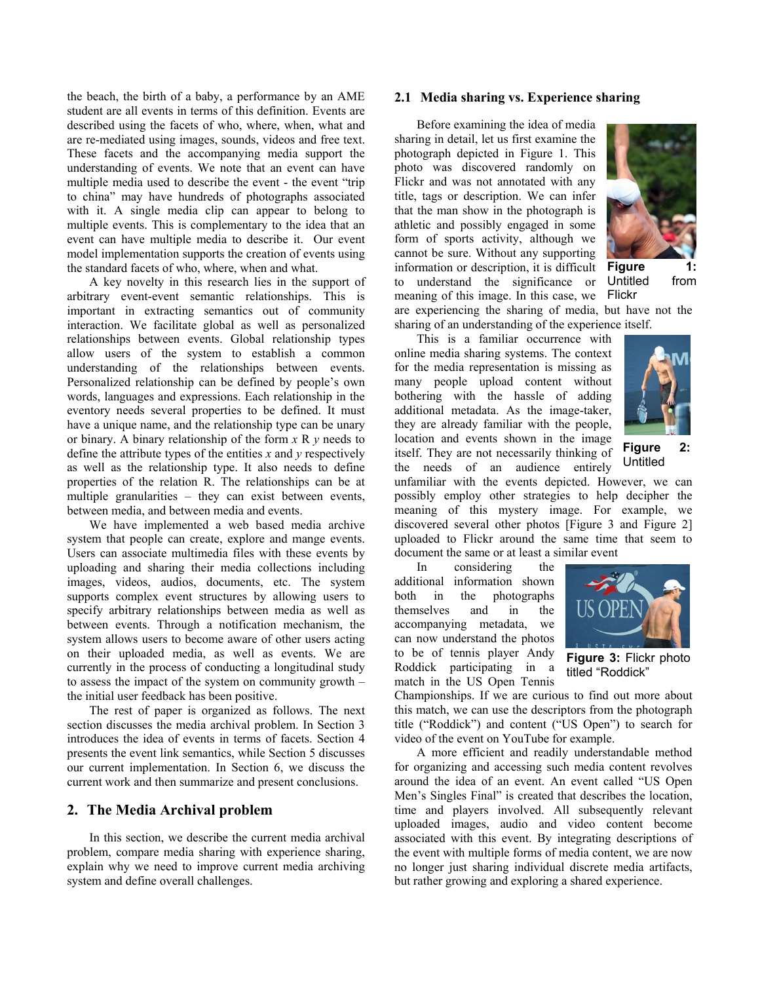the beach, the birth of a baby, a performance by an AME student are all events in terms of this definition. Events are described using the facets of who, where, when, what and are re-mediated using images, sounds, videos and free text. These facets and the accompanying media support the understanding of events. We note that an event can have multiple media used to describe the event - the event "trip to china" may have hundreds of photographs associated with it. A single media clip can appear to belong to multiple events. This is complementary to the idea that an event can have multiple media to describe it. Our event model implementation supports the creation of events using the standard facets of who, where, when and what.

A key novelty in this research lies in the support of arbitrary event-event semantic relationships. This is important in extracting semantics out of community interaction. We facilitate global as well as personalized relationships between events. Global relationship types allow users of the system to establish a common understanding of the relationships between events. Personalized relationship can be defined by people's own words, languages and expressions. Each relationship in the eventory needs several properties to be defined. It must have a unique name, and the relationship type can be unary or binary. A binary relationship of the form *x* R *y* needs to define the attribute types of the entities *x* and *y* respectively as well as the relationship type. It also needs to define properties of the relation R. The relationships can be at multiple granularities – they can exist between events, between media, and between media and events.

We have implemented a web based media archive system that people can create, explore and mange events. Users can associate multimedia files with these events by uploading and sharing their media collections including images, videos, audios, documents, etc. The system supports complex event structures by allowing users to specify arbitrary relationships between media as well as between events. Through a notification mechanism, the system allows users to become aware of other users acting on their uploaded media, as well as events. We are currently in the process of conducting a longitudinal study to assess the impact of the system on community growth – the initial user feedback has been positive.

The rest of paper is organized as follows. The next section discusses the media archival problem. In Section 3 introduces the idea of events in terms of facets. Section 4 presents the event link semantics, while Section 5 discusses our current implementation. In Section 6, we discuss the current work and then summarize and present conclusions.

### **2. The Media Archival problem**

In this section, we describe the current media archival problem, compare media sharing with experience sharing, explain why we need to improve current media archiving system and define overall challenges.

### **2.1 Media sharing vs. Experience sharing**

Before examining the idea of media sharing in detail, let us first examine the photograph depicted in Figure 1. This photo was discovered randomly on Flickr and was not annotated with any title, tags or description. We can infer that the man show in the photograph is athletic and possibly engaged in some form of sports activity, although we cannot be sure. Without any supporting information or description, it is difficult to understand the significance or meaning of this image. In this case, we



**Figure 1:**  Untitled from Flickr

are experiencing the sharing of media, but have not the sharing of an understanding of the experience itself.

This is a familiar occurrence with online media sharing systems. The context for the media representation is missing as many people upload content without bothering with the hassle of adding additional metadata. As the image-taker, they are already familiar with the people, location and events shown in the image itself. They are not necessarily thinking of the needs of an audience entirely



**Figure 2:** Untitled

unfamiliar with the events depicted. However, we can possibly employ other strategies to help decipher the meaning of this mystery image. For example, we discovered several other photos [Figure 3 and Figure 2] uploaded to Flickr around the same time that seem to document the same or at least a similar event

In considering the additional information shown both in the photographs themselves and in the accompanying metadata, we can now understand the photos to be of tennis player Andy Roddick participating in a match in the US Open Tennis



**Figure 3:** Flickr photo titled "Roddick"

Championships. If we are curious to find out more about this match, we can use the descriptors from the photograph title ("Roddick") and content ("US Open") to search for video of the event on YouTube for example.

A more efficient and readily understandable method for organizing and accessing such media content revolves around the idea of an event. An event called "US Open Men's Singles Final" is created that describes the location, time and players involved. All subsequently relevant uploaded images, audio and video content become associated with this event. By integrating descriptions of the event with multiple forms of media content, we are now no longer just sharing individual discrete media artifacts, but rather growing and exploring a shared experience.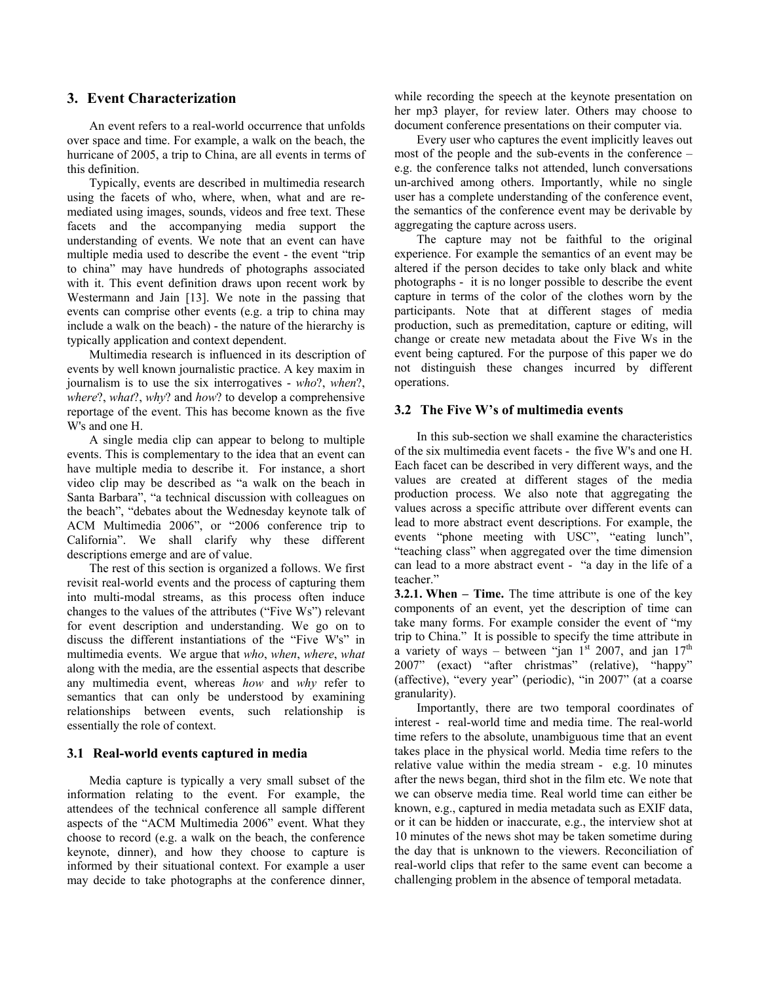## **3. Event Characterization**

An event refers to a real-world occurrence that unfolds over space and time. For example, a walk on the beach, the hurricane of 2005, a trip to China, are all events in terms of this definition.

Typically, events are described in multimedia research using the facets of who, where, when, what and are remediated using images, sounds, videos and free text. These facets and the accompanying media support the understanding of events. We note that an event can have multiple media used to describe the event - the event "trip to china" may have hundreds of photographs associated with it. This event definition draws upon recent work by Westermann and Jain [13]. We note in the passing that events can comprise other events (e.g. a trip to china may include a walk on the beach) - the nature of the hierarchy is typically application and context dependent.

Multimedia research is influenced in its description of events by well known journalistic practice. A key maxim in journalism is to use the six interrogatives - *who*?, *when*?, *where*?, *what*?, *why*? and *how*? to develop a comprehensive reportage of the event. This has become known as the five W's and one H.

A single media clip can appear to belong to multiple events. This is complementary to the idea that an event can have multiple media to describe it. For instance, a short video clip may be described as "a walk on the beach in Santa Barbara", "a technical discussion with colleagues on the beach", "debates about the Wednesday keynote talk of ACM Multimedia 2006", or "2006 conference trip to California". We shall clarify why these different descriptions emerge and are of value.

The rest of this section is organized a follows. We first revisit real-world events and the process of capturing them into multi-modal streams, as this process often induce changes to the values of the attributes ("Five Ws") relevant for event description and understanding. We go on to discuss the different instantiations of the "Five W's" in multimedia events. We argue that *who*, *when*, *where*, *what* along with the media, are the essential aspects that describe any multimedia event, whereas *how* and *why* refer to semantics that can only be understood by examining relationships between events, such relationship is essentially the role of context.

#### **3.1 Real-world events captured in media**

Media capture is typically a very small subset of the information relating to the event. For example, the attendees of the technical conference all sample different aspects of the "ACM Multimedia 2006" event. What they choose to record (e.g. a walk on the beach, the conference keynote, dinner), and how they choose to capture is informed by their situational context. For example a user may decide to take photographs at the conference dinner,

while recording the speech at the keynote presentation on her mp3 player, for review later. Others may choose to document conference presentations on their computer via.

Every user who captures the event implicitly leaves out most of the people and the sub-events in the conference – e.g. the conference talks not attended, lunch conversations un-archived among others. Importantly, while no single user has a complete understanding of the conference event, the semantics of the conference event may be derivable by aggregating the capture across users.

The capture may not be faithful to the original experience. For example the semantics of an event may be altered if the person decides to take only black and white photographs - it is no longer possible to describe the event capture in terms of the color of the clothes worn by the participants. Note that at different stages of media production, such as premeditation, capture or editing, will change or create new metadata about the Five Ws in the event being captured. For the purpose of this paper we do not distinguish these changes incurred by different operations.

#### **3.2 The Five W's of multimedia events**

In this sub-section we shall examine the characteristics of the six multimedia event facets - the five W's and one H. Each facet can be described in very different ways, and the values are created at different stages of the media production process. We also note that aggregating the values across a specific attribute over different events can lead to more abstract event descriptions. For example, the events "phone meeting with USC", "eating lunch", "teaching class" when aggregated over the time dimension can lead to a more abstract event - "a day in the life of a teacher."

**3.2.1. When – Time.** The time attribute is one of the key components of an event, yet the description of time can take many forms. For example consider the event of "my trip to China." It is possible to specify the time attribute in a variety of ways – between "jan  $1<sup>st</sup>$  2007, and jan  $17<sup>th</sup>$ 2007" (exact) "after christmas" (relative), "happy" (affective), "every year" (periodic), "in 2007" (at a coarse granularity).

Importantly, there are two temporal coordinates of interest - real-world time and media time. The real-world time refers to the absolute, unambiguous time that an event takes place in the physical world. Media time refers to the relative value within the media stream - e.g. 10 minutes after the news began, third shot in the film etc. We note that we can observe media time. Real world time can either be known, e.g., captured in media metadata such as EXIF data, or it can be hidden or inaccurate, e.g., the interview shot at 10 minutes of the news shot may be taken sometime during the day that is unknown to the viewers. Reconciliation of real-world clips that refer to the same event can become a challenging problem in the absence of temporal metadata.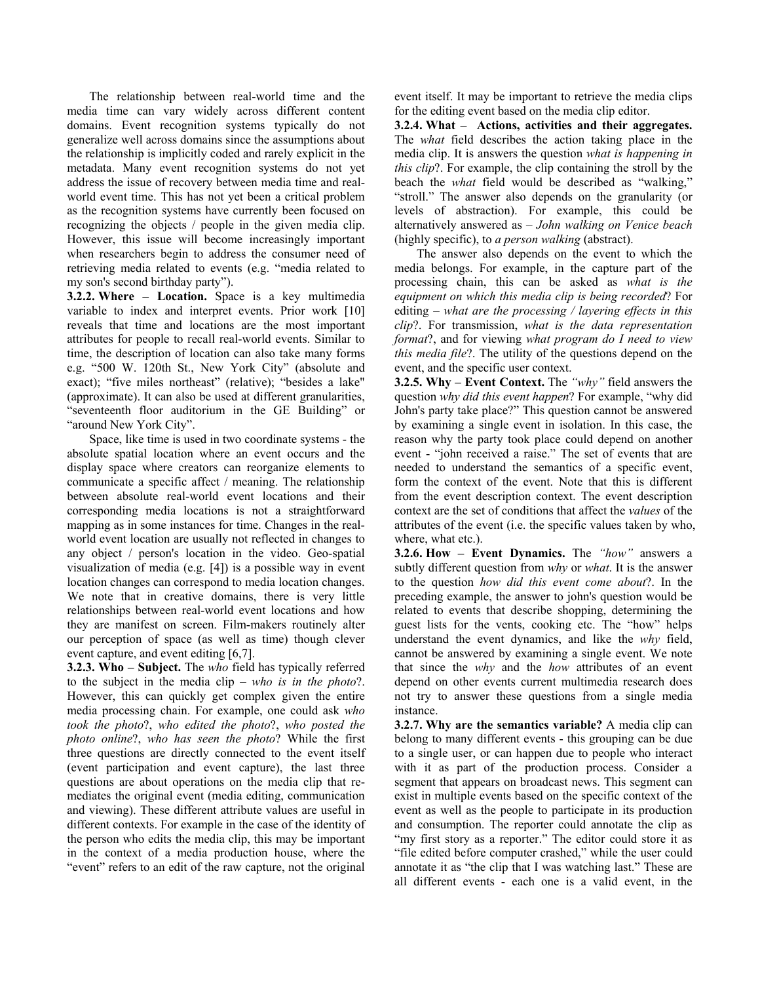The relationship between real-world time and the media time can vary widely across different content domains. Event recognition systems typically do not generalize well across domains since the assumptions about the relationship is implicitly coded and rarely explicit in the metadata. Many event recognition systems do not yet address the issue of recovery between media time and realworld event time. This has not yet been a critical problem as the recognition systems have currently been focused on recognizing the objects / people in the given media clip. However, this issue will become increasingly important when researchers begin to address the consumer need of retrieving media related to events (e.g. "media related to my son's second birthday party").

**3.2.2. Where – Location.** Space is a key multimedia variable to index and interpret events. Prior work [10] reveals that time and locations are the most important attributes for people to recall real-world events. Similar to time, the description of location can also take many forms e.g. "500 W. 120th St., New York City" (absolute and exact); "five miles northeast" (relative); "besides a lake" (approximate). It can also be used at different granularities, "seventeenth floor auditorium in the GE Building" or "around New York City".

Space, like time is used in two coordinate systems - the absolute spatial location where an event occurs and the display space where creators can reorganize elements to communicate a specific affect / meaning. The relationship between absolute real-world event locations and their corresponding media locations is not a straightforward mapping as in some instances for time. Changes in the realworld event location are usually not reflected in changes to any object / person's location in the video. Geo-spatial visualization of media (e.g. [4]) is a possible way in event location changes can correspond to media location changes. We note that in creative domains, there is very little relationships between real-world event locations and how they are manifest on screen. Film-makers routinely alter our perception of space (as well as time) though clever event capture, and event editing [6,7].

**3.2.3. Who – Subject.** The *who* field has typically referred to the subject in the media clip – *who is in the photo*?. However, this can quickly get complex given the entire media processing chain. For example, one could ask *who took the photo*?, *who edited the photo*?, *who posted the photo online*?, *who has seen the photo*? While the first three questions are directly connected to the event itself (event participation and event capture), the last three questions are about operations on the media clip that remediates the original event (media editing, communication and viewing). These different attribute values are useful in different contexts. For example in the case of the identity of the person who edits the media clip, this may be important in the context of a media production house, where the "event" refers to an edit of the raw capture, not the original

event itself. It may be important to retrieve the media clips for the editing event based on the media clip editor.

**3.2.4. What – Actions, activities and their aggregates.** The *what* field describes the action taking place in the media clip. It is answers the question *what is happening in this clip*?. For example, the clip containing the stroll by the beach the *what* field would be described as "walking," "stroll." The answer also depends on the granularity (or levels of abstraction). For example, this could be alternatively answered as – *John walking on Venice beach* (highly specific), to *a person walking* (abstract).

The answer also depends on the event to which the media belongs. For example, in the capture part of the processing chain, this can be asked as *what is the equipment on which this media clip is being recorded*? For editing – *what are the processing / layering effects in this clip*?. For transmission, *what is the data representation format*?, and for viewing *what program do I need to view this media file*?. The utility of the questions depend on the event, and the specific user context.

**3.2.5. Why – Event Context.** The *"why"* field answers the question *why did this event happen*? For example, "why did John's party take place?" This question cannot be answered by examining a single event in isolation. In this case, the reason why the party took place could depend on another event - "john received a raise." The set of events that are needed to understand the semantics of a specific event, form the context of the event. Note that this is different from the event description context. The event description context are the set of conditions that affect the *values* of the attributes of the event (i.e. the specific values taken by who, where, what etc.).

**3.2.6. How – Event Dynamics.** The *"how"* answers a subtly different question from *why* or *what*. It is the answer to the question *how did this event come about*?. In the preceding example, the answer to john's question would be related to events that describe shopping, determining the guest lists for the vents, cooking etc. The "how" helps understand the event dynamics, and like the *why* field, cannot be answered by examining a single event. We note that since the *why* and the *how* attributes of an event depend on other events current multimedia research does not try to answer these questions from a single media instance.

**3.2.7. Why are the semantics variable?** A media clip can belong to many different events - this grouping can be due to a single user, or can happen due to people who interact with it as part of the production process. Consider a segment that appears on broadcast news. This segment can exist in multiple events based on the specific context of the event as well as the people to participate in its production and consumption. The reporter could annotate the clip as "my first story as a reporter." The editor could store it as "file edited before computer crashed," while the user could annotate it as "the clip that I was watching last." These are all different events - each one is a valid event, in the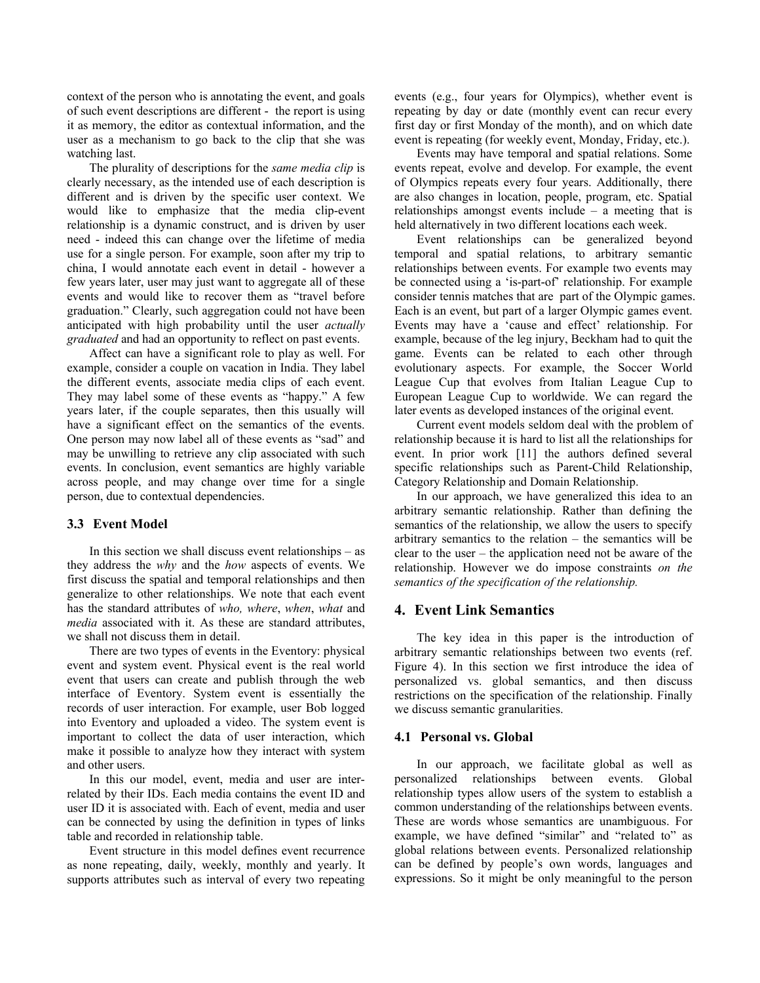context of the person who is annotating the event, and goals of such event descriptions are different - the report is using it as memory, the editor as contextual information, and the user as a mechanism to go back to the clip that she was watching last.

The plurality of descriptions for the *same media clip* is clearly necessary, as the intended use of each description is different and is driven by the specific user context. We would like to emphasize that the media clip-event relationship is a dynamic construct, and is driven by user need - indeed this can change over the lifetime of media use for a single person. For example, soon after my trip to china, I would annotate each event in detail - however a few years later, user may just want to aggregate all of these events and would like to recover them as "travel before graduation." Clearly, such aggregation could not have been anticipated with high probability until the user *actually graduated* and had an opportunity to reflect on past events.

Affect can have a significant role to play as well. For example, consider a couple on vacation in India. They label the different events, associate media clips of each event. They may label some of these events as "happy." A few years later, if the couple separates, then this usually will have a significant effect on the semantics of the events. One person may now label all of these events as "sad" and may be unwilling to retrieve any clip associated with such events. In conclusion, event semantics are highly variable across people, and may change over time for a single person, due to contextual dependencies.

#### **3.3 Event Model**

In this section we shall discuss event relationships – as they address the *why* and the *how* aspects of events. We first discuss the spatial and temporal relationships and then generalize to other relationships. We note that each event has the standard attributes of *who, where*, *when*, *what* and *media* associated with it. As these are standard attributes, we shall not discuss them in detail.

There are two types of events in the Eventory: physical event and system event. Physical event is the real world event that users can create and publish through the web interface of Eventory. System event is essentially the records of user interaction. For example, user Bob logged into Eventory and uploaded a video. The system event is important to collect the data of user interaction, which make it possible to analyze how they interact with system and other users.

In this our model, event, media and user are interrelated by their IDs. Each media contains the event ID and user ID it is associated with. Each of event, media and user can be connected by using the definition in types of links table and recorded in relationship table.

Event structure in this model defines event recurrence as none repeating, daily, weekly, monthly and yearly. It supports attributes such as interval of every two repeating

events (e.g., four years for Olympics), whether event is repeating by day or date (monthly event can recur every first day or first Monday of the month), and on which date event is repeating (for weekly event, Monday, Friday, etc.).

Events may have temporal and spatial relations. Some events repeat, evolve and develop. For example, the event of Olympics repeats every four years. Additionally, there are also changes in location, people, program, etc. Spatial relationships amongst events include – a meeting that is held alternatively in two different locations each week.

Event relationships can be generalized beyond temporal and spatial relations, to arbitrary semantic relationships between events. For example two events may be connected using a 'is-part-of' relationship. For example consider tennis matches that are part of the Olympic games. Each is an event, but part of a larger Olympic games event. Events may have a 'cause and effect' relationship. For example, because of the leg injury, Beckham had to quit the game. Events can be related to each other through evolutionary aspects. For example, the Soccer World League Cup that evolves from Italian League Cup to European League Cup to worldwide. We can regard the later events as developed instances of the original event.

Current event models seldom deal with the problem of relationship because it is hard to list all the relationships for event. In prior work [11] the authors defined several specific relationships such as Parent-Child Relationship, Category Relationship and Domain Relationship.

In our approach, we have generalized this idea to an arbitrary semantic relationship. Rather than defining the semantics of the relationship, we allow the users to specify arbitrary semantics to the relation – the semantics will be clear to the user – the application need not be aware of the relationship. However we do impose constraints *on the semantics of the specification of the relationship.* 

#### **4. Event Link Semantics**

The key idea in this paper is the introduction of arbitrary semantic relationships between two events (ref. Figure 4). In this section we first introduce the idea of personalized vs. global semantics, and then discuss restrictions on the specification of the relationship. Finally we discuss semantic granularities.

#### **4.1 Personal vs. Global**

In our approach, we facilitate global as well as personalized relationships between events. Global relationship types allow users of the system to establish a common understanding of the relationships between events. These are words whose semantics are unambiguous. For example, we have defined "similar" and "related to" as global relations between events. Personalized relationship can be defined by people's own words, languages and expressions. So it might be only meaningful to the person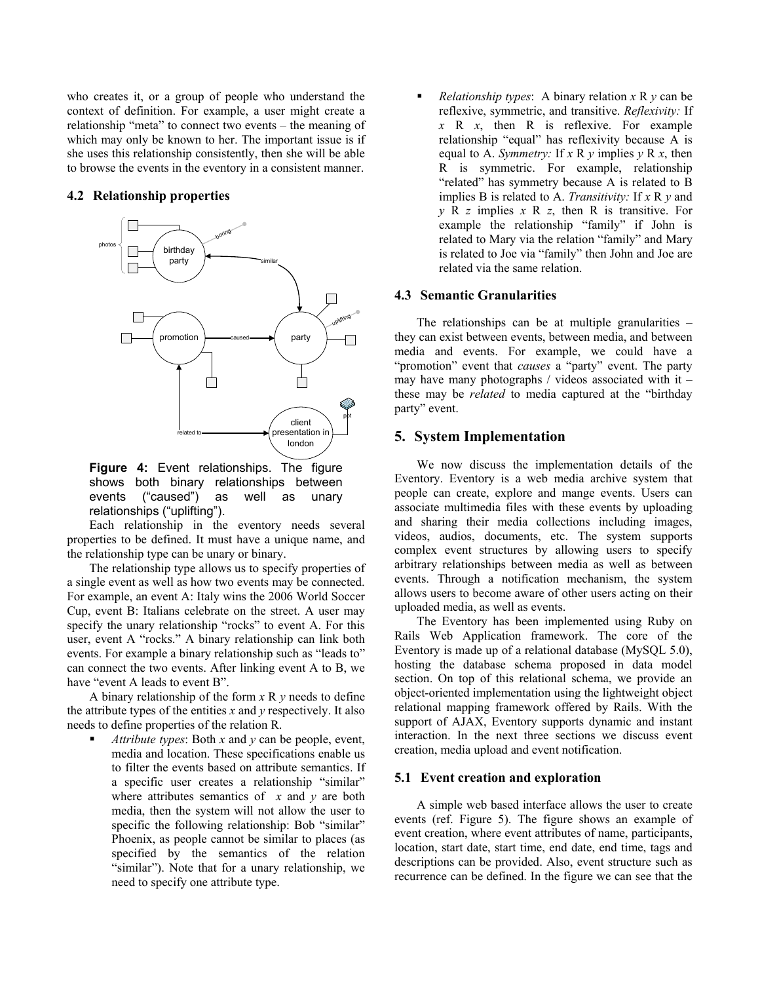who creates it, or a group of people who understand the context of definition. For example, a user might create a relationship "meta" to connect two events – the meaning of which may only be known to her. The important issue is if she uses this relationship consistently, then she will be able to browse the events in the eventory in a consistent manner.

### **4.2 Relationship properties**



**Figure 4:** Event relationships. The figure shows both binary relationships between events ("caused") as well as unary relationships ("uplifting").

Each relationship in the eventory needs several properties to be defined. It must have a unique name, and the relationship type can be unary or binary.

The relationship type allows us to specify properties of a single event as well as how two events may be connected. For example, an event A: Italy wins the 2006 World Soccer Cup, event B: Italians celebrate on the street. A user may specify the unary relationship "rocks" to event A. For this user, event A "rocks." A binary relationship can link both events. For example a binary relationship such as "leads to" can connect the two events. After linking event A to B, we have "event A leads to event B".

A binary relationship of the form *x* R *y* needs to define the attribute types of the entities *x* and *y* respectively. It also needs to define properties of the relation R.

> *Attribute types*: Both *x* and *y* can be people, event, media and location. These specifications enable us to filter the events based on attribute semantics. If a specific user creates a relationship "similar" where attributes semantics of *x* and *y* are both media, then the system will not allow the user to specific the following relationship: Bob "similar" Phoenix, as people cannot be similar to places (as specified by the semantics of the relation "similar"). Note that for a unary relationship, we need to specify one attribute type.

 *Relationship types*: A binary relation *x* R *y* can be reflexive, symmetric, and transitive. *Reflexivity:* If *x* R *x*, then R is reflexive. For example relationship "equal" has reflexivity because A is equal to A. *Symmetry:* If *x* R *y* implies *y* R *x*, then R is symmetric. For example, relationship "related" has symmetry because A is related to B implies B is related to A. *Transitivity:* If *x* R *y* and *y* R *z* implies *x* R *z*, then R is transitive. For example the relationship "family" if John is related to Mary via the relation "family" and Mary is related to Joe via "family" then John and Joe are related via the same relation.

#### **4.3 Semantic Granularities**

The relationships can be at multiple granularities – they can exist between events, between media, and between media and events. For example, we could have a "promotion" event that *causes* a "party" event. The party may have many photographs / videos associated with it  $$ these may be *related* to media captured at the "birthday party" event.

# **5. System Implementation**

We now discuss the implementation details of the Eventory. Eventory is a web media archive system that people can create, explore and mange events. Users can associate multimedia files with these events by uploading and sharing their media collections including images, videos, audios, documents, etc. The system supports complex event structures by allowing users to specify arbitrary relationships between media as well as between events. Through a notification mechanism, the system allows users to become aware of other users acting on their uploaded media, as well as events.

The Eventory has been implemented using Ruby on Rails Web Application framework. The core of the Eventory is made up of a relational database (MySQL 5.0), hosting the database schema proposed in data model section. On top of this relational schema, we provide an object-oriented implementation using the lightweight object relational mapping framework offered by Rails. With the support of AJAX, Eventory supports dynamic and instant interaction. In the next three sections we discuss event creation, media upload and event notification.

### **5.1 Event creation and exploration**

A simple web based interface allows the user to create events (ref. Figure 5). The figure shows an example of event creation, where event attributes of name, participants, location, start date, start time, end date, end time, tags and descriptions can be provided. Also, event structure such as recurrence can be defined. In the figure we can see that the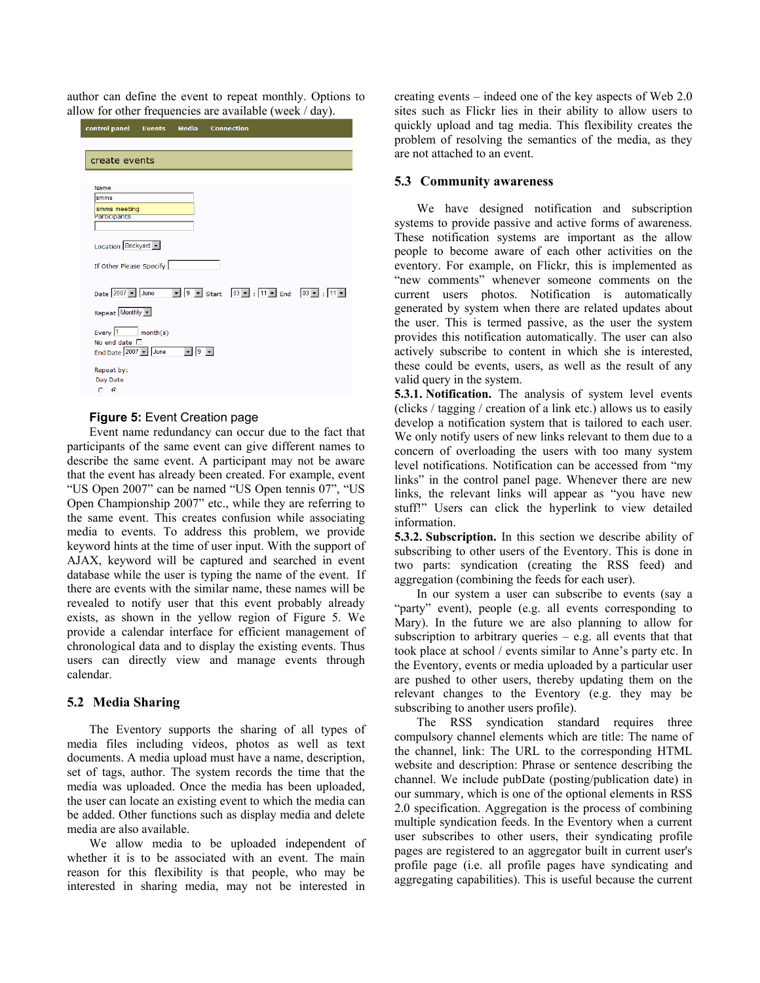author can define the event to repeat monthly. Options to allow for other frequencies are available (week / day).

|                                                                     | ı        |                      |                   | J /                                                                                                                     |
|---------------------------------------------------------------------|----------|----------------------|-------------------|-------------------------------------------------------------------------------------------------------------------------|
| control panel                                                       | Events   | <b>Media</b>         | <b>Connection</b> |                                                                                                                         |
|                                                                     |          |                      |                   |                                                                                                                         |
| create events                                                       |          |                      |                   |                                                                                                                         |
|                                                                     |          |                      |                   |                                                                                                                         |
| Name                                                                |          |                      |                   |                                                                                                                         |
| smms                                                                |          |                      |                   |                                                                                                                         |
| smms meeting                                                        |          |                      |                   |                                                                                                                         |
| Participants                                                        |          |                      |                   |                                                                                                                         |
|                                                                     |          |                      |                   |                                                                                                                         |
| Location Brickyard                                                  |          |                      |                   |                                                                                                                         |
| If Other Please Specify                                             |          |                      |                   |                                                                                                                         |
| Date $2007 -$ June                                                  |          |                      |                   | $\boxed{\bullet}$ 9 $\boxed{\bullet}$ Start $\boxed{03}$ : 11 $\boxed{\bullet}$ End $\boxed{03}$ : 11 $\boxed{\bullet}$ |
| Repeat Monthly                                                      |          |                      |                   |                                                                                                                         |
| Every <sup>1</sup><br>No end date $\square$<br>End Date 2007   June | month(s) | 19<br>$\blacksquare$ |                   |                                                                                                                         |
| Repeat by:                                                          |          |                      |                   |                                                                                                                         |
| Day Date                                                            |          |                      |                   |                                                                                                                         |
| G.<br>O.                                                            |          |                      |                   |                                                                                                                         |
|                                                                     |          |                      |                   |                                                                                                                         |

### **Figure 5:** Event Creation page

Event name redundancy can occur due to the fact that participants of the same event can give different names to describe the same event. A participant may not be aware that the event has already been created. For example, event "US Open 2007" can be named "US Open tennis 07", "US Open Championship 2007" etc., while they are referring to the same event. This creates confusion while associating media to events. To address this problem, we provide keyword hints at the time of user input. With the support of AJAX, keyword will be captured and searched in event database while the user is typing the name of the event. If there are events with the similar name, these names will be revealed to notify user that this event probably already exists, as shown in the yellow region of Figure 5. We provide a calendar interface for efficient management of chronological data and to display the existing events. Thus users can directly view and manage events through calendar.

#### **5.2 Media Sharing**

The Eventory supports the sharing of all types of media files including videos, photos as well as text documents. A media upload must have a name, description, set of tags, author. The system records the time that the media was uploaded. Once the media has been uploaded, the user can locate an existing event to which the media can be added. Other functions such as display media and delete media are also available.

We allow media to be uploaded independent of whether it is to be associated with an event. The main reason for this flexibility is that people, who may be interested in sharing media, may not be interested in

creating events – indeed one of the key aspects of Web 2.0 sites such as Flickr lies in their ability to allow users to quickly upload and tag media. This flexibility creates the problem of resolving the semantics of the media, as they are not attached to an event.

#### **5.3 Community awareness**

We have designed notification and subscription systems to provide passive and active forms of awareness. These notification systems are important as the allow people to become aware of each other activities on the eventory. For example, on Flickr, this is implemented as "new comments" whenever someone comments on the current users photos. Notification is automatically generated by system when there are related updates about the user. This is termed passive, as the user the system provides this notification automatically. The user can also actively subscribe to content in which she is interested, these could be events, users, as well as the result of any valid query in the system.

**5.3.1. Notification.** The analysis of system level events (clicks / tagging / creation of a link etc.) allows us to easily develop a notification system that is tailored to each user. We only notify users of new links relevant to them due to a concern of overloading the users with too many system level notifications. Notification can be accessed from "my links" in the control panel page. Whenever there are new links, the relevant links will appear as "you have new stuff!" Users can click the hyperlink to view detailed information.

**5.3.2. Subscription.** In this section we describe ability of subscribing to other users of the Eventory. This is done in two parts: syndication (creating the RSS feed) and aggregation (combining the feeds for each user).

In our system a user can subscribe to events (say a "party" event), people (e.g. all events corresponding to Mary). In the future we are also planning to allow for subscription to arbitrary queries  $-$  e.g. all events that that took place at school / events similar to Anne's party etc. In the Eventory, events or media uploaded by a particular user are pushed to other users, thereby updating them on the relevant changes to the Eventory (e.g. they may be subscribing to another users profile).

The RSS syndication standard requires three compulsory channel elements which are title: The name of the channel, link: The URL to the corresponding HTML website and description: Phrase or sentence describing the channel. We include pubDate (posting/publication date) in our summary, which is one of the optional elements in RSS 2.0 specification. Aggregation is the process of combining multiple syndication feeds. In the Eventory when a current user subscribes to other users, their syndicating profile pages are registered to an aggregator built in current user's profile page (i.e. all profile pages have syndicating and aggregating capabilities). This is useful because the current